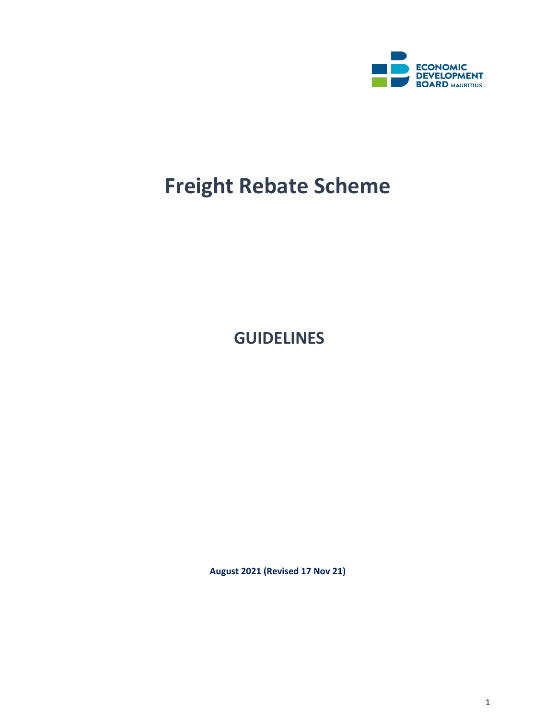

# **Freight Rebate Scheme**

**GUIDELINES**

**August 2021 (Revised 17 Nov 21)**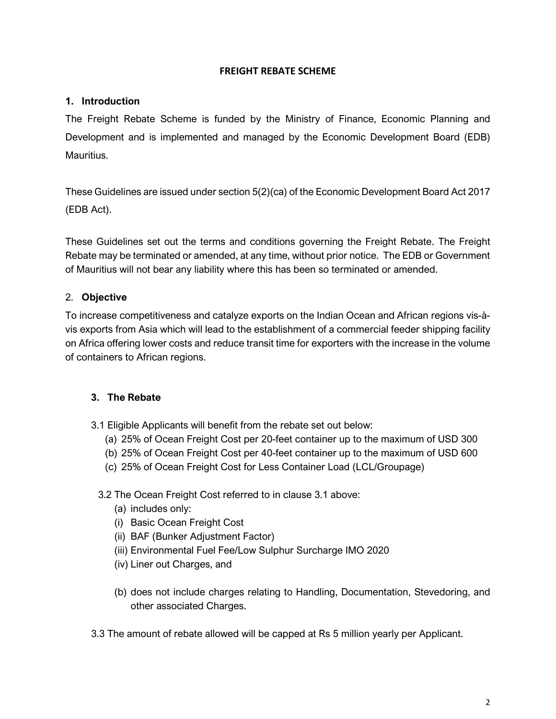#### **FREIGHT REBATE SCHEME**

### **1. Introduction**

The Freight Rebate Scheme is funded by the Ministry of Finance, Economic Planning and Development and is implemented and managed by the Economic Development Board (EDB) Mauritius.

These Guidelines are issued under section 5(2)(ca) of the Economic Development Board Act 2017 (EDB Act).

These Guidelines set out the terms and conditions governing the Freight Rebate. The Freight Rebate may be terminated or amended, at any time, without prior notice. The EDB or Government of Mauritius will not bear any liability where this has been so terminated or amended.

# 2. **Objective**

To increase competitiveness and catalyze exports on the Indian Ocean and African regions vis-àvis exports from Asia which will lead to the establishment of a commercial feeder shipping facility on Africa offering lower costs and reduce transit time for exporters with the increase in the volume of containers to African regions.

### **3. The Rebate**

- 3.1 Eligible Applicants will benefit from the rebate set out below:
	- (a) 25% of Ocean Freight Cost per 20-feet container up to the maximum of USD 300
	- (b) 25% of Ocean Freight Cost per 40-feet container up to the maximum of USD 600
	- (c) 25% of Ocean Freight Cost for Less Container Load (LCL/Groupage)

### 3.2 The Ocean Freight Cost referred to in clause 3.1 above:

- (a) includes only:
- (i) Basic Ocean Freight Cost
- (ii) BAF (Bunker Adjustment Factor)
- (iii) Environmental Fuel Fee/Low Sulphur Surcharge IMO 2020
- (iv) Liner out Charges, and
- (b) does not include charges relating to Handling, Documentation, Stevedoring, and other associated Charges.
- 3.3 The amount of rebate allowed will be capped at Rs 5 million yearly per Applicant.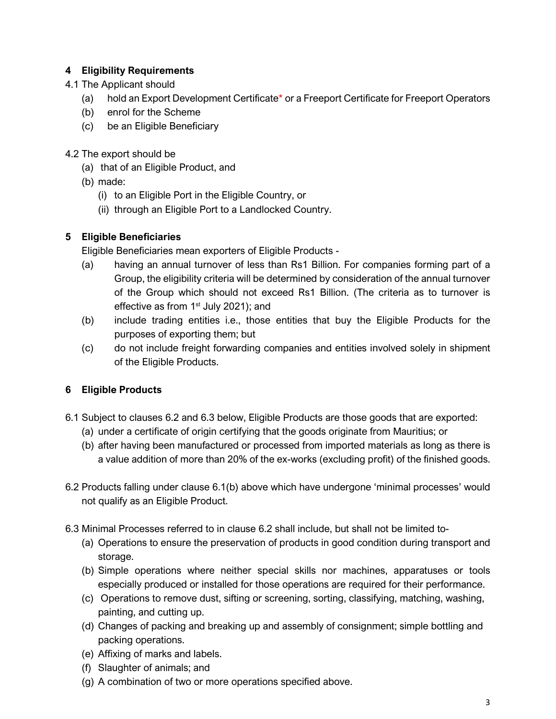# **4 Eligibility Requirements**

- 4.1 The Applicant should
	- (a) hold an Export Development Certificate\* or a Freeport Certificate for Freeport Operators
	- (b) enrol for the Scheme
	- (c) be an Eligible Beneficiary
- 4.2 The export should be
	- (a) that of an Eligible Product, and
	- (b) made:
		- (i) to an Eligible Port in the Eligible Country, or
		- (ii) through an Eligible Port to a Landlocked Country.

# **5 Eligible Beneficiaries**

Eligible Beneficiaries mean exporters of Eligible Products -

- (a) having an annual turnover of less than Rs1 Billion. For companies forming part of a Group, the eligibility criteria will be determined by consideration of the annual turnover of the Group which should not exceed Rs1 Billion. (The criteria as to turnover is effective as from 1<sup>st</sup> July 2021); and
- (b) include trading entities i.e., those entities that buy the Eligible Products for the purposes of exporting them; but
- (c) do not include freight forwarding companies and entities involved solely in shipment of the Eligible Products.

# **6 Eligible Products**

- 6.1 Subject to clauses 6.2 and 6.3 below, Eligible Products are those goods that are exported:
	- (a) under a certificate of origin certifying that the goods originate from Mauritius; or
	- (b) after having been manufactured or processed from imported materials as long as there is a value addition of more than 20% of the ex-works (excluding profit) of the finished goods.
- 6.2 Products falling under clause 6.1(b) above which have undergone 'minimal processes' would not qualify as an Eligible Product.
- 6.3 Minimal Processes referred to in clause 6.2 shall include, but shall not be limited to-
	- (a) Operations to ensure the preservation of products in good condition during transport and storage.
	- (b) Simple operations where neither special skills nor machines, apparatuses or tools especially produced or installed for those operations are required for their performance.
	- (c) Operations to remove dust, sifting or screening, sorting, classifying, matching, washing, painting, and cutting up.
	- (d) Changes of packing and breaking up and assembly of consignment; simple bottling and packing operations.
	- (e) Affixing of marks and labels.
	- (f) Slaughter of animals; and
	- (g) A combination of two or more operations specified above.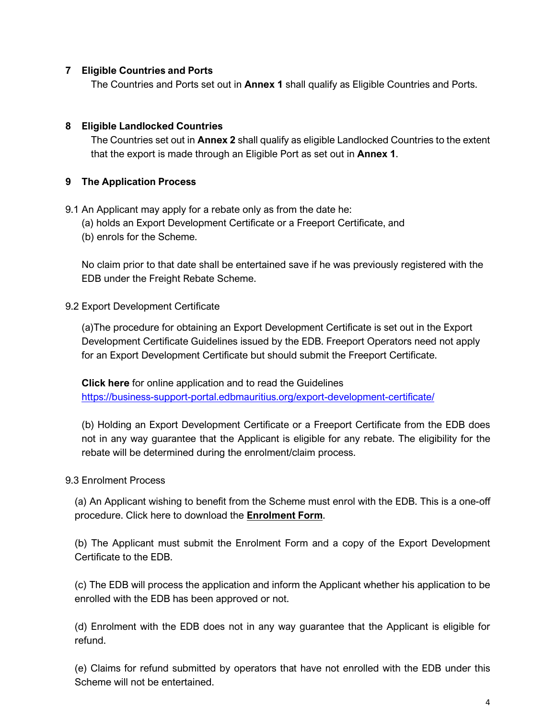#### **7 Eligible Countries and Ports**

The Countries and Ports set out in **Annex 1** shall qualify as Eligible Countries and Ports.

#### **8 Eligible Landlocked Countries**

The Countries set out in **Annex 2** shall qualify as eligible Landlocked Countries to the extent that the export is made through an Eligible Port as set out in **Annex 1**.

#### **9 The Application Process**

9.1 An Applicant may apply for a rebate only as from the date he:

- (a) holds an Export Development Certificate or a Freeport Certificate, and
- (b) enrols for the Scheme.

No claim prior to that date shall be entertained save if he was previously registered with the EDB under the Freight Rebate Scheme.

#### 9.2 Export Development Certificate

(a)The procedure for obtaining an Export Development Certificate is set out in the Export Development Certificate Guidelines issued by the EDB. Freeport Operators need not apply for an Export Development Certificate but should submit the Freeport Certificate.

**Click here** for online application and to read the Guidelines <https://business-support-portal.edbmauritius.org/export-development-certificate/>

(b) Holding an Export Development Certificate or a Freeport Certificate from the EDB does not in any way guarantee that the Applicant is eligible for any rebate. The eligibility for the rebate will be determined during the enrolment/claim process.

#### 9.3 Enrolment Process

(a) An Applicant wishing to benefit from the Scheme must enrol with the EDB. This is a one-off procedure. Click here to download the **Enrolment Form**.

(b) The Applicant must submit the Enrolment Form and a copy of the Export Development Certificate to the EDB.

(c) The EDB will process the application and inform the Applicant whether his application to be enrolled with the EDB has been approved or not.

(d) Enrolment with the EDB does not in any way guarantee that the Applicant is eligible for refund.

(e) Claims for refund submitted by operators that have not enrolled with the EDB under this Scheme will not be entertained.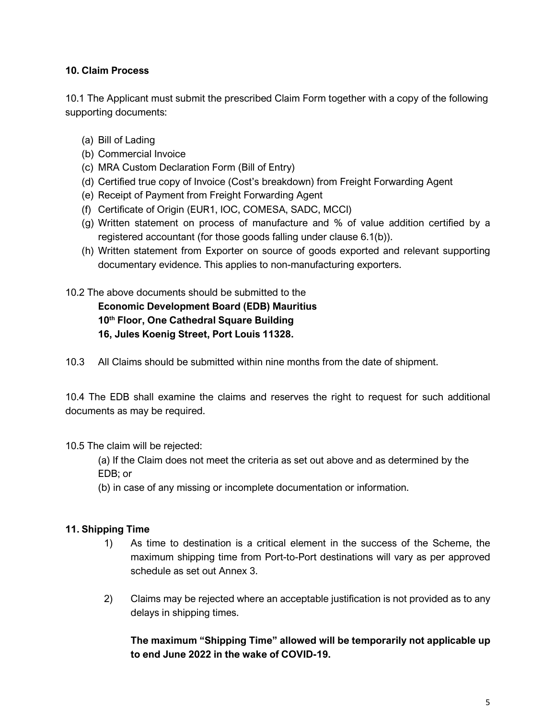# **10. Claim Process**

10.1 The Applicant must submit the prescribed Claim Form together with a copy of the following supporting documents:

- (a) Bill of Lading
- (b) Commercial Invoice
- (c) MRA Custom Declaration Form (Bill of Entry)
- (d) Certified true copy of Invoice (Cost's breakdown) from Freight Forwarding Agent
- (e) Receipt of Payment from Freight Forwarding Agent
- (f) Certificate of Origin (EUR1, IOC, COMESA, SADC, MCCI)
- (g) Written statement on process of manufacture and % of value addition certified by a registered accountant (for those goods falling under clause 6.1(b)).
- (h) Written statement from Exporter on source of goods exported and relevant supporting documentary evidence. This applies to non-manufacturing exporters.

10.2 The above documents should be submitted to the **[Economic Development Board \(EDB\) Mauritius](http://www.edbmauritius.org/) 10th Floor, One Cathedral Square Building** 

- **16, Jules Koenig Street, Port Louis 11328.**
- 10.3 All Claims should be submitted within nine months from the date of shipment.

10.4 The EDB shall examine the claims and reserves the right to request for such additional documents as may be required.

### 10.5 The claim will be rejected:

(a) If the Claim does not meet the criteria as set out above and as determined by the EDB; or

(b) in case of any missing or incomplete documentation or information.

### **11. Shipping Time**

- 1) As time to destination is a critical element in the success of the Scheme, the maximum shipping time from Port-to-Port destinations will vary as per approved schedule as set out Annex 3.
- 2) Claims may be rejected where an acceptable justification is not provided as to any delays in shipping times.

**The maximum "Shipping Time" allowed will be temporarily not applicable up to end June 2022 in the wake of COVID-19.**